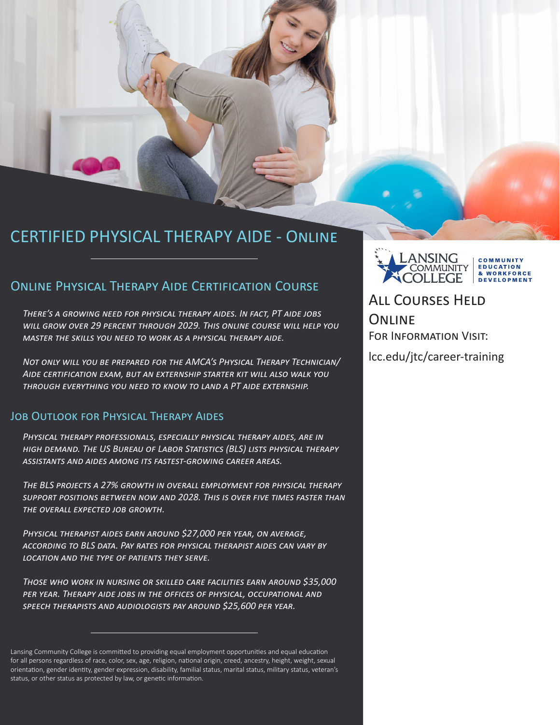### CERTIFIED PHYSICAL THERAPY AIDE - Online

### Online Physical Therapy Aide Certification Course

*There's a growing need for physical therapy aides. In fact, PT aide jobs will grow over 29 percent through 2029. This online course will help you master the skills you need to work as a physical therapy aide.*

*Not only will you be prepared for the AMCA's Physical Therapy Technician/ Aide certification exam, but an externship starter kit will also walk you through everything you need to know to land a PT aide externship.*

#### Job Outlook for Physical Therapy Aides

*Physical therapy professionals, especially physical therapy aides, are in high demand. The US Bureau of Labor Statistics (BLS) lists physical therapy assistants and aides among its fastest-growing career areas.*

*The BLS projects a 27% growth in overall employment for physical therapy support positions between now and 2028. This is over five times faster than the overall expected job growth.* 

*Physical therapist aides earn around \$27,000 per year, on average, according to BLS data. Pay rates for physical therapist aides can vary by location and the type of patients they serve.*

*Those who work in nursing or skilled care facilities earn around \$35,000*  PER YEAR. THERAPY AIDE JOBS IN THE OFFICES OF PHYSICAL, OCCUPATIONAL AND *speech therapists and audiologists pay around \$25,600 per year.*

Lansing Community College is committed to providing equal employment opportunities and equal education for all persons regardless of race, color, sex, age, religion, national origin, creed, ancestry, height, weight, sexual orientation, gender identity, gender expression, disability, familial status, marital status, military status, veteran's status, or other status as protected by law, or genetic information.



All Courses Held **ONLINE** For Information Visit:

lcc.edu/jtc/career-training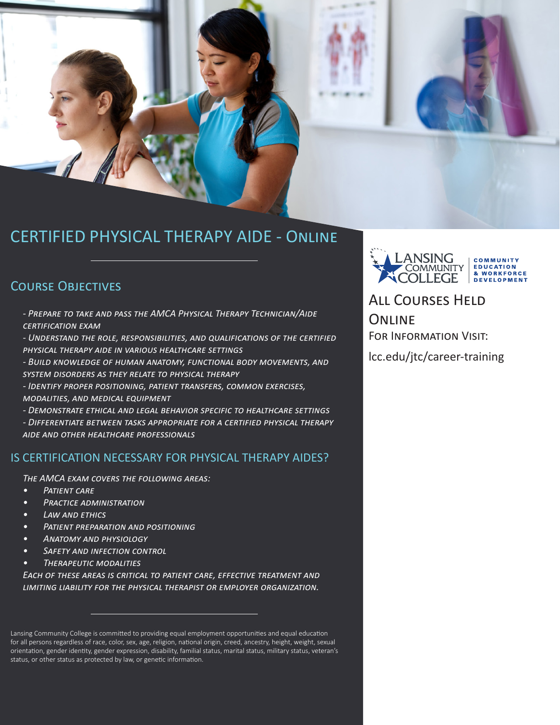# CERTIFIED PHYSICAL THERAPY AIDE - Online

### Course Objectives

*- Prepare to take and pass the AMCA Physical Therapy Technician/Aide certification exam*

*- Understand the role, responsibilities, and qualifications of the certified physical therapy aide in various healthcare settings*

- *Build knowledge of human anatomy, functional body movements, and*
- *system disorders as they relate to physical therapy*

*- Identify proper positioning, patient transfers, common exercises, modalities, and medical equipment*

*- Demonstrate ethical and legal behavior specific to healthcare settings*

*- Differentiate between tasks appropriate for a certified physical therapy aide and other healthcare professionals*

#### IS CERTIFICATION NECESSARY FOR PHYSICAL THERAPY AIDES?

*The AMCA exam covers the following areas:*

- *• Patient care*
- *• Practice administration*
- *• Law and ethics*
- *• Patient preparation and positioning*
- *• Anatomy and physiology*
- *• Safety and infection control*
- *• Therapeutic modalities*

**EACH OF THESE AREAS IS CRITICAL TO PATIENT CARE, EFFECTIVE TREATMENT AND** *limiting liability for the physical therapist or employer organization.*



# All Courses Held **ONLINE**

FOR INFORMATION VISIT:

lcc.edu/jtc/career-training

Lansing Community College is committed to providing equal employment opportunities and equal education for all persons regardless of race, color, sex, age, religion, national origin, creed, ancestry, height, weight, sexual orientation, gender identity, gender expression, disability, familial status, marital status, military status, veteran's status, or other status as protected by law, or genetic information.